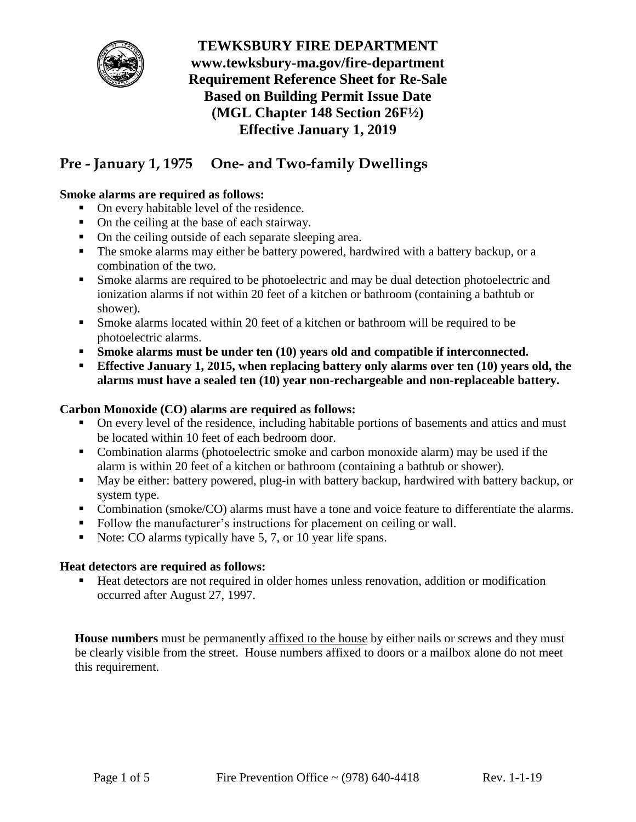

# **Pre - January 1, 1975 One- and Two-family Dwellings**

## **Smoke alarms are required as follows:**

- On every habitable level of the residence.
- On the ceiling at the base of each stairway.
- On the ceiling outside of each separate sleeping area.
- The smoke alarms may either be battery powered, hardwired with a battery backup, or a combination of the two.
- Smoke alarms are required to be photoelectric and may be dual detection photoelectric and ionization alarms if not within 20 feet of a kitchen or bathroom (containing a bathtub or shower).
- Smoke alarms located within 20 feet of a kitchen or bathroom will be required to be photoelectric alarms.
- **Smoke alarms must be under ten (10) years old and compatible if interconnected.**
- **Effective January 1, 2015, when replacing battery only alarms over ten (10) years old, the alarms must have a sealed ten (10) year non-rechargeable and non-replaceable battery.**

#### **Carbon Monoxide (CO) alarms are required as follows:**

- On every level of the residence, including habitable portions of basements and attics and must be located within 10 feet of each bedroom door.
- Combination alarms (photoelectric smoke and carbon monoxide alarm) may be used if the alarm is within 20 feet of a kitchen or bathroom (containing a bathtub or shower).
- May be either: battery powered, plug-in with battery backup, hardwired with battery backup, or system type.
- **Combination (smoke/CO) alarms must have a tone and voice feature to differentiate the alarms.**
- Follow the manufacturer's instructions for placement on ceiling or wall.
- Note: CO alarms typically have 5, 7, or 10 year life spans.

#### **Heat detectors are required as follows:**

 Heat detectors are not required in older homes unless renovation, addition or modification occurred after August 27, 1997.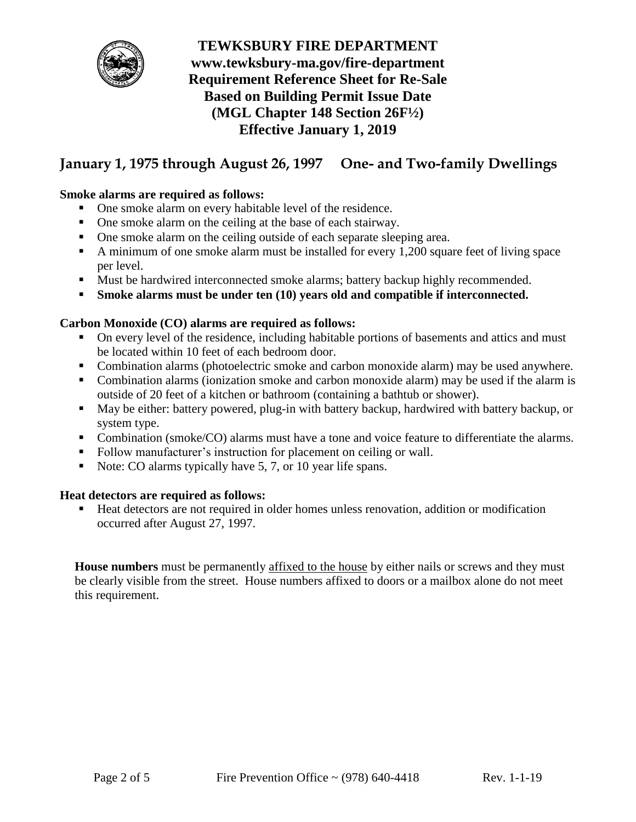

# **January 1, 1975 through August 26, 1997 One- and Two-family Dwellings**

## **Smoke alarms are required as follows:**

- One smoke alarm on every habitable level of the residence.
- One smoke alarm on the ceiling at the base of each stairway.
- One smoke alarm on the ceiling outside of each separate sleeping area.
- A minimum of one smoke alarm must be installed for every 1,200 square feet of living space per level.
- Must be hardwired interconnected smoke alarms; battery backup highly recommended.
- **Smoke alarms must be under ten (10) years old and compatible if interconnected.**

#### **Carbon Monoxide (CO) alarms are required as follows:**

- On every level of the residence, including habitable portions of basements and attics and must be located within 10 feet of each bedroom door.
- Combination alarms (photoelectric smoke and carbon monoxide alarm) may be used anywhere.
- Combination alarms (ionization smoke and carbon monoxide alarm) may be used if the alarm is outside of 20 feet of a kitchen or bathroom (containing a bathtub or shower).
- May be either: battery powered, plug-in with battery backup, hardwired with battery backup, or system type.
- Combination (smoke/CO) alarms must have a tone and voice feature to differentiate the alarms.
- Follow manufacturer's instruction for placement on ceiling or wall.
- Note: CO alarms typically have  $5, 7$ , or 10 year life spans.

#### **Heat detectors are required as follows:**

■ Heat detectors are not required in older homes unless renovation, addition or modification occurred after August 27, 1997.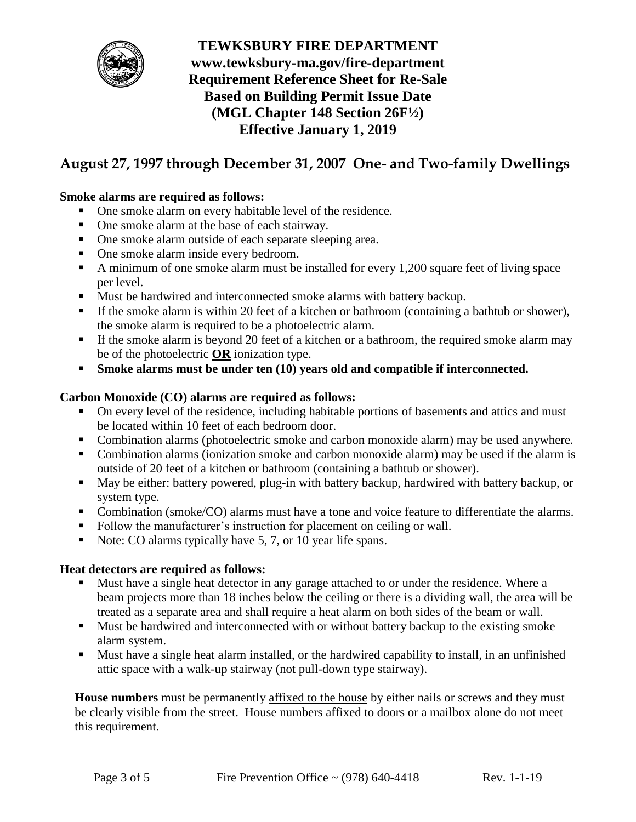

# **August 27, 1997 through December 31, 2007 One- and Two-family Dwellings**

## **Smoke alarms are required as follows:**

- One smoke alarm on every habitable level of the residence.
- One smoke alarm at the base of each stairway.
- One smoke alarm outside of each separate sleeping area.
- One smoke alarm inside every bedroom.
- A minimum of one smoke alarm must be installed for every 1,200 square feet of living space per level.
- Must be hardwired and interconnected smoke alarms with battery backup.
- If the smoke alarm is within 20 feet of a kitchen or bathroom (containing a bathtub or shower), the smoke alarm is required to be a photoelectric alarm.
- If the smoke alarm is beyond 20 feet of a kitchen or a bathroom, the required smoke alarm may be of the photoelectric **OR** ionization type.
- **Smoke alarms must be under ten (10) years old and compatible if interconnected.**

#### **Carbon Monoxide (CO) alarms are required as follows:**

- On every level of the residence, including habitable portions of basements and attics and must be located within 10 feet of each bedroom door.
- Combination alarms (photoelectric smoke and carbon monoxide alarm) may be used anywhere.
- Combination alarms (ionization smoke and carbon monoxide alarm) may be used if the alarm is outside of 20 feet of a kitchen or bathroom (containing a bathtub or shower).
- May be either: battery powered, plug-in with battery backup, hardwired with battery backup, or system type.
- **Combination (smoke/CO) alarms must have a tone and voice feature to differentiate the alarms.**
- Follow the manufacturer's instruction for placement on ceiling or wall.
- Note: CO alarms typically have  $5, 7$ , or 10 year life spans.

#### **Heat detectors are required as follows:**

- Must have a single heat detector in any garage attached to or under the residence. Where a beam projects more than 18 inches below the ceiling or there is a dividing wall, the area will be treated as a separate area and shall require a heat alarm on both sides of the beam or wall.
- Must be hardwired and interconnected with or without battery backup to the existing smoke alarm system.
- Must have a single heat alarm installed, or the hardwired capability to install, in an unfinished attic space with a walk-up stairway (not pull-down type stairway).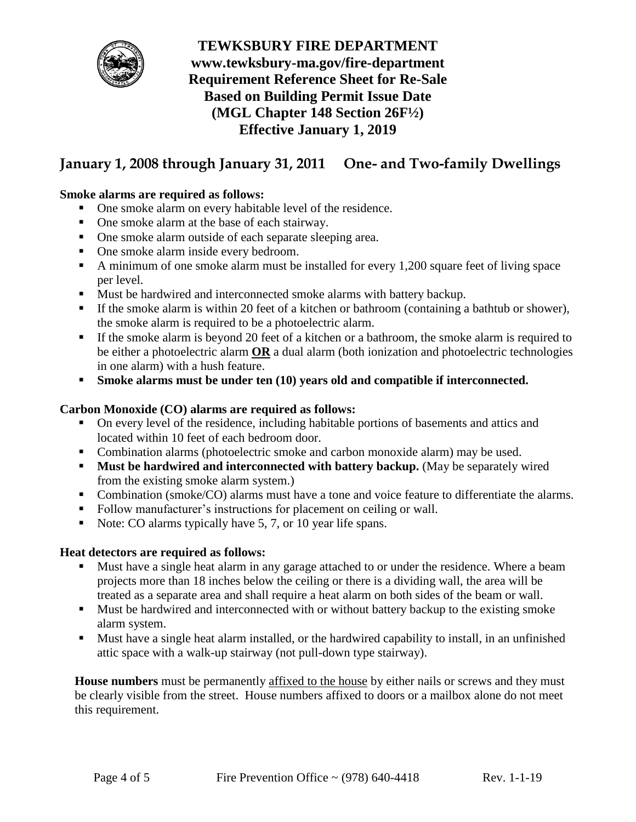

# **January 1, 2008 through January 31, 2011 One- and Two-family Dwellings**

## **Smoke alarms are required as follows:**

- One smoke alarm on every habitable level of the residence.
- One smoke alarm at the base of each stairway.
- One smoke alarm outside of each separate sleeping area.
- One smoke alarm inside every bedroom.
- A minimum of one smoke alarm must be installed for every 1,200 square feet of living space per level.
- Must be hardwired and interconnected smoke alarms with battery backup.
- If the smoke alarm is within 20 feet of a kitchen or bathroom (containing a bathtub or shower), the smoke alarm is required to be a photoelectric alarm.
- If the smoke alarm is beyond 20 feet of a kitchen or a bathroom, the smoke alarm is required to be either a photoelectric alarm **OR** a dual alarm (both ionization and photoelectric technologies in one alarm) with a hush feature.
- **Smoke alarms must be under ten (10) years old and compatible if interconnected.**

#### **Carbon Monoxide (CO) alarms are required as follows:**

- On every level of the residence, including habitable portions of basements and attics and located within 10 feet of each bedroom door.
- Combination alarms (photoelectric smoke and carbon monoxide alarm) may be used.
- **Must be hardwired and interconnected with battery backup.** (May be separately wired from the existing smoke alarm system.)
- Combination (smoke/CO) alarms must have a tone and voice feature to differentiate the alarms.
- Follow manufacturer's instructions for placement on ceiling or wall.
- Note: CO alarms typically have 5, 7, or 10 year life spans.

#### **Heat detectors are required as follows:**

- Must have a single heat alarm in any garage attached to or under the residence. Where a beam projects more than 18 inches below the ceiling or there is a dividing wall, the area will be treated as a separate area and shall require a heat alarm on both sides of the beam or wall.
- Must be hardwired and interconnected with or without battery backup to the existing smoke alarm system.
- Must have a single heat alarm installed, or the hardwired capability to install, in an unfinished attic space with a walk-up stairway (not pull-down type stairway).